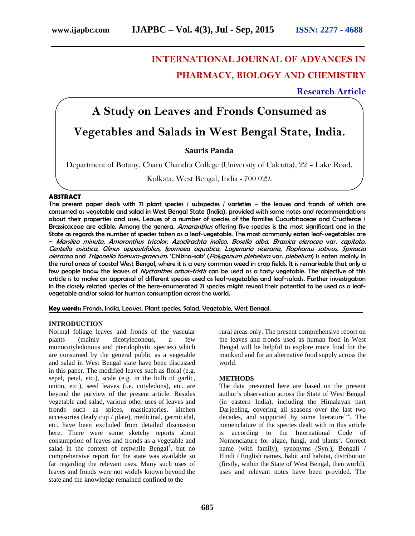# **INTERNATIONAL JOURNAL OF ADVANCES IN PHARMACY, BIOLOGY AND CHEMISTRY**

**Research Article**

# **A Study on Leaves and Fronds Consumed as**

# **Vegetables and Salads in West Bengal State, India.**

**Sauris Panda**

Department of Botany, Charu Chandra College (University of Calcutta), 22 – Lake Road,

Kolkata, West Bengal, India - 700 029.

# **ABSTRACT**

The present paper deals with 71 plant species / subspecies / varieties – the leaves and fronds of which are consumed as vegetable and salad in West Bengal State (India), provided with some notes and recommendations about their properties and uses. Leaves of a number of species of the families Cucurbitaceae and Cruciferae / Brassicaceae are edible. Among the genera, *Amaranthus* offering five species is the most significant one in the State as regards the number of species taken as a leaf-vegetable. The most commonly eaten leaf-vegetables are – *Marsilea minuta, Amaranthus tricolor, Azadirachta indica, Basella alba, Brassica oleracea* var. *capitata, Centella asiatica, Glinus oppositifolius, Ipomoea aquatica, Lagenaria siceraria, Raphanus sativus, Spinacia oleracea* and *Trigonella foenum-graecum*. 'Chikna-sak' (*Polygonum plebeium* var. *plebeium*) is eaten mainly in the rural areas of coastal West Bengal, where it is a very common weed in crop fields. It is remarkable that only a few people know the leaves of *Nyctanthes arbor-tristis* can be used as a tasty vegetable. The objective of this article is to make an appraisal of different species used as leaf-vegetables and leaf-salads. Further investigation in the closely related species of the here-enumerated 71 species might reveal their potential to be used as a leaf vegetable and/or salad for human consumption across the world.

**Key words:** Fronds, India, Leaves, Plant species, Salad, Vegetable, West Bengal.

# **INTRODUCTION**

Normal foliage leaves and fronds of the vascular plants (mainly dicotyledonous, a few monocotyledonous and pteridophytic species) which are consumed by the general public as a vegetable and salad in West Bengal state have been discussed in this paper. The modified leaves such as floral (e.g. sepal, petal, etc.), scale (e.g. in the bulb of garlic, onion, etc.), seed leaves (i.e. cotyledons), etc. are beyond the purview of the present article. Besides vegetable and salad, various other uses of leaves and fronds such as spices, masticatories, kitchen accessories (leafy cup / plate), medicinal, germicidal, etc. have been excluded from detailed discussion here. There were some sketchy reports about consumption of leaves and fronds as a vegetable and salad in the context of erstwhile  $Bengal<sup>1</sup>$ , but no comprehensive report for the state was available so far regarding the relevant uses. Many such uses of leaves and fronds were not widely known beyond the state and the knowledge remained confined to the

rural areas only. The present comprehensive report on the leaves and fronds used as human food in West Bengal will be helpful to explore more food for the mankind and for an alternative food supply across the world.

# **METHODS**

The data presented here are based on the present author's observation across the State of West Bengal (in eastern India), including the Himalayan part Darjeeling, covering all seasons over the last two decades, and supported by some literature<sup>1-4</sup>. The nomenclature of the species dealt with in this article is according to the International Code of Nomenclature for algae, fungi, and plants<sup>5</sup>. Correct name (with family), synonyms (Syn.), Bengali / Hindi / English names, habit and habitat, distribution (firstly, within the State of West Bengal, then world), uses and relevant notes have been provided. The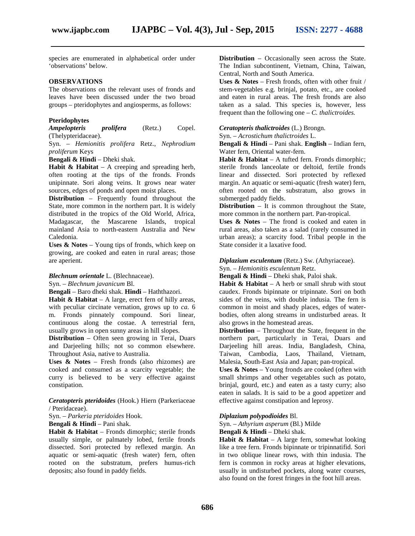species are enumerated in alphabetical order under 'observations' below.

# **OBSERVATIONS**

The observations on the relevant uses of fronds and leaves have been discussed under the two broad groups – pteridophytes and angiosperms, as follows:

# **Pteridophytes**

*Ampelopteris prolifera* (Retz.) Copel. (Thelypteridaceae).

Syn. – *Hemionitis prolifera* Retz., *Nephrodium proliferum* Keys

**Bengali & Hindi** – Dheki shak.

**Habit & Habitat** – A creeping and spreading herb, often rooting at the tips of the fronds. Fronds unipinnate. Sori along veins. It grows near water sources, edges of ponds and open moist places.

**Distribution** – Frequently found throughout the State, more common in the northern part. It is widely distributed in the tropics of the Old World, Africa, Madagascar, the Mascarene Islands, tropical mainland Asia to north-eastern Australia and New Caledonia.

**Uses & Notes** – Young tips of fronds, which keep on growing, are cooked and eaten in rural areas; those are aperient.

# *Blechnum orientale* L. (Blechnaceae).

Syn. – *Blechnum javanicum* Bl.

**Bengali** – Baro dheki shak. **Hindi** – Haththazori.

**Habit & Habitat** – A large, erect fern of hilly areas, with peculiar circinate vernation, grows up to *ca.* 6 m. Fronds pinnately compound. Sori linear, continuous along the costae. A terrestrial fern, usually grows in open sunny areas in hill slopes.

**Distribution** – Often seen growing in Terai, Duars and Darjeeling hills; not so common elsewhere. Throughout Asia, native to Australia.

**Uses & Notes** – Fresh fronds (also rhizomes) are cooked and consumed as a scarcity vegetable; the curry is believed to be very effective against constipation.

*Ceratopteris pteridoides* (Hook.) Hiern (Parkeriaceae / Pteridaceae).

Syn. – *Parkeria pteridoides* Hook.

**Bengali & Hindi** – Pani shak.

**Habit & Habitat** – Fronds dimorphic; sterile fronds usually simple, or palmately lobed, fertile fronds dissected. Sori protected by reflexed margin. An aquatic or semi-aquatic (fresh water) fern, often rooted on the substratum, prefers humus-rich deposits; also found in paddy fields.

**Distribution** – Occasionally seen across the State. The Indian subcontinent, Vietnam, China, Taiwan, Central, North and South America.

**Uses & Notes** – Fresh fronds, often with other fruit / stem-vegetables e.g. brinjal, potato, etc., are cooked and eaten in rural areas. The fresh fronds are also taken as a salad. This species is, however, less frequent than the following one – *C. thalictroides.*

### *Ceratopteris thalictroides* (L.) Brongn.

Syn. – *Acrostichum thalictroides* L.

**Bengali & Hindi** – Pani shak. **English** – Indian fern, Water fern, Oriental water-fern.

**Habit & Habitat** – A tufted fern. Fronds dimorphic; sterile fronds lanceolate or deltoid, fertile fronds linear and dissected. Sori protected by reflexed margin. An aquatic or semi-aquatic (fresh water) fern, often rooted on the substratum, also grows in submerged paddy fields.

**Distribution** – It is common throughout the State, more common in the northern part. Pan-tropical.

**Uses & Notes** – The frond is cooked and eaten in rural areas, also taken as a salad (rarely consumed in urban areas); a scarcity food. Tribal people in the State consider it a laxative food.

*Diplazium esculentum* (Retz.) Sw. (Athyriaceae). Syn. – *Hemionitis esculentum* Retz.

**Bengali & Hindi** – Dheki shak, Paloi shak.

**Habit & Habitat**– A herb or small shrub with stout caudex. Fronds bipinnate or tripinnate. Sori on both sides of the veins, with double indusia. The fern is common in moist and shady places, edges of water bodies, often along streams in undisturbed areas. It also grows in the homestead areas.

**Distribution** – Throughout the State, frequent in the northern part, particularly in Terai, Duars and Darjeeling hill areas. India, Bangladesh, China, Taiwan, Cambodia, Laos, Thailand, Vietnam, Malesia, South-East Asia and Japan; pan-tropical.

**Uses & Notes** – Young fronds are cooked (often with small shrimps and other vegetables such as potato, brinjal, gourd, etc.) and eaten as a tasty curry; also eaten in salads. It is said to be a good appetizer and effective against constipation and leprosy.

#### *Diplazium polypodioides* Bl.

Syn. – *Athyrium asperum* (Bl.) Milde

**Bengali & Hindi** – Dheki shak.

**Habit & Habitat** – A large fern, somewhat looking like a tree fern. Fronds bipinnate or tripinnatifid. Sori in two oblique linear rows, with thin indusia. The fern is common in rocky areas at higher elevations, usually in undisturbed pockets, along water courses, also found on the forest fringes in the foot hill areas.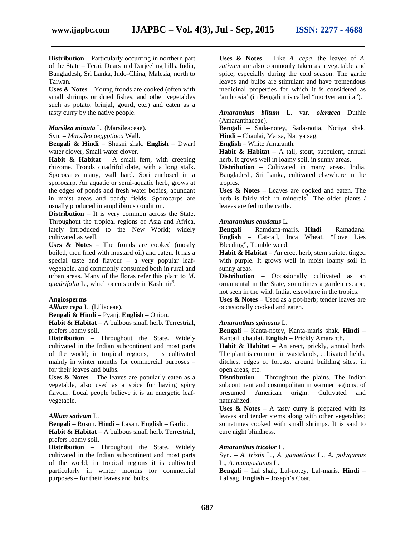**Distribution** – Particularly occurring in northern part of the State – Terai, Duars and Darjeeling hills. India, Bangladesh, Sri Lanka, Indo-China, Malesia, north to Taiwan.

**Uses & Notes** – Young fronds are cooked (often with small shrimps or dried fishes, and other vegetables such as potato, brinjal, gourd, etc.) and eaten as a tasty curry by the native people.

### *Marsilea minuta* L. (Marsileaceae).

Syn. – *Marsilea aegyptiaca* Wall.

**Bengali & Hindi** – Shusni shak. **English** – Dwarf water clover, Small water clover.

**Habit & Habitat** – A small fern, with creeping rhizome. Fronds quadrifoliolate, with a long stalk. Sporocarps many, wall hard. Sori enclosed in a sporocarp. An aquatic or semi-aquatic herb, grows at the edges of ponds and fresh water bodies, abundant in moist areas and paddy fields. Sporocarps are usually produced in amphibious condition.

**Distribution** – It is very common across the State. Throughout the tropical regions of Asia and Africa, lately introduced to the New World; widely cultivated as well.

**Uses & Notes** – The fronds are cooked (mostly boiled, then fried with mustard oil) and eaten. It has a special taste and flavour – a very popular leaf vegetable, and commonly consumed both in rural and urban areas. Many of the floras refer this plant to *M.* quadrifolia L., which occurs only in Kashmir<sup>3</sup>.

### **Angiosperms**

*Allium cepa* L. (Liliaceae).

**Bengali & Hindi** – Pyanj. **English** – Onion.

**Habit & Habitat** – A bulbous small herb. Terrestrial, prefers loamy soil.

**Distribution** – Throughout the State. Widely cultivated in the Indian subcontinent and most parts of the world; in tropical regions, it is cultivated mainly in winter months for commercial purposes – for their leaves and bulbs.

**Uses & Notes** – The leaves are popularly eaten as a vegetable, also used as a spice for having spicy flavour. Local people believe it is an energetic leaf vegetable.

### *Allium sativum* L.

**Bengali** – Rosun. **Hindi** – Lasan. **English** – Garlic. **Habit & Habitat** – A bulbous small herb. Terrestrial, prefers loamy soil.

**Distribution** – Throughout the State. Widely cultivated in the Indian subcontinent and most parts of the world; in tropical regions it is cultivated particularly in winter months for commercial purposes – for their leaves and bulbs.

**Uses & Notes** – Like *A. cepa,* the leaves of *A. sativum* are also commonly taken as a vegetable and spice, especially during the cold season. The garlic leaves and bulbs are stimulant and have tremendous medicinal properties for which it is considered as 'ambrosia' (in Bengali it is called "mortyer amrita").

*Amaranthus blitum* L. var. *oleracea* Duthie (Amaranthaceae).

**Bengali** – Sada-notey, Sada-notia, Notiya shak. **Hindi** – Chaulai, Marsa, Natiya sag.

**English** – White Amaranth.

**Habit & Habitat** – A tall, stout, succulent, annual herb. It grows well in loamy soil, in sunny areas.

**Distribution** – Cultivated in many areas. India, Bangladesh, Sri Lanka, cultivated elsewhere in the tropics.

**Uses & Notes** – Leaves are cooked and eaten. The herb is fairly rich in minerals<sup>3</sup>. The older plants  $\ell$ leaves are fed to the cattle.

## *Amaranthus caudatus* L.

**Bengali** – Ramdana-maris. **Hindi** – Ramadana. **English** – Cat-tail, Inca Wheat, "Love Lies Bleeding", Tumble weed.

**Habit & Habitat** – An erect herb, stem striate, tinged with purple. It grows well in moist loamy soil in sunny areas.

**Distribution** – Occasionally cultivated as an ornamental in the State, sometimes a garden escape; not seen in the wild. India, elsewhere in the tropics.

**Uses & Notes** – Used as a pot-herb; tender leaves are occasionally cooked and eaten.

# *Amaranthus spinosus* L.

**Bengali** – Kanta-notey, Kanta-maris shak. **Hindi** – Kantaili chaulai. **English** – Prickly Amaranth.

**Habit & Habitat** – An erect, prickly, annual herb. The plant is common in wastelands, cultivated fields, ditches, edges of forests, around building sites, in open areas, etc.

**Distribution** – Throughout the plains. The Indian subcontinent and cosmopolitan in warmer regions; of presumed American origin. Cultivated and naturalized.

**Uses & Notes** – A tasty curry is prepared with its leaves and tender stems along with other vegetables; sometimes cooked with small shrimps. It is said to cure night blindness.

# *Amaranthus tricolor* L.

Syn. – *A. tristis* L., *A. gangeticus* L., *A. polygamus* L., *A. mangostanus* L.

**Bengali** – Lal shak, Lal-notey, Lal-maris. **Hindi** – Lal sag. **English** – Joseph's Coat.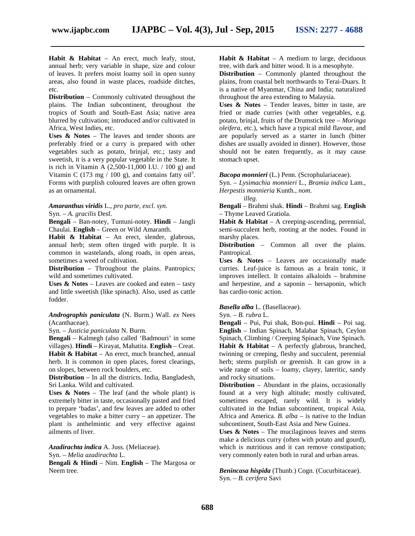**Habit & Habitat** – An erect, much leafy, stout, annual herb; very variable in shape, size and colour of leaves. It prefers moist loamy soil in open sunny areas, also found in waste places, roadside ditches, etc.

**Distribution** – Commonly cultivated throughout the plains. The Indian subcontinent, throughout the tropics of South and South-East Asia; native area blurred by cultivation; introduced and/or cultivated in Africa, West Indies, etc.

**Uses & Notes** – The leaves and tender shoots are preferably fried or a curry is prepared with other vegetables such as potato, brinjal, etc.; tasty and sweetish, it is a very popular vegetable in the State. It is rich in Vitamin A (2,500-11,000 I.U. / 100 g) and Vitamin C (173 mg / 100 g), and contains fatty oil<sup>3</sup>. Forms with purplish coloured leaves are often grown as an ornamental.

# *Amaranthus viridis* L., *pro parte, excl. syn.*

Syn. – *A. gracilis* Desf.

**Bengali** – Ban-notey, Tuntuni-notey. **Hindi** – Jangli Chaulai. **English** – Green or Wild Amaranth.

**Habit & Habitat** – An erect, slender, glabrous, annual herb; stem often tinged with purple. It is common in wastelands, along roads, in open areas, sometimes a weed of cultivation.

**Distribution** – Throughout the plains. Pantropics; wild and sometimes cultivated.

**Uses & Notes** – Leaves are cooked and eaten – tasty and little sweetish (like spinach). Also, used as cattle fodder.

# *Andrographis paniculata* (N. Burm.) Wall. *ex* Nees (Acanthaceae).

Syn. – *Justicia paniculata* N. Burm.

**Bengali** – Kalmegh (also called 'Badmouri' in some villages). **Hindi** – Kirayat, Mahatita. **English** – Creat. **Habit & Habitat** – An erect, much branched, annual herb. It is common in open places, forest clearings, on slopes, between rock boulders, etc.

**Distribution** – In all the districts. India, Bangladesh, Sri Lanka. Wild and cultivated.

**Uses & Notes** – The leaf (and the whole plant) is extremely bitter in taste, occasionally pasted and fried to prepare 'badas', and few leaves are added to other vegetables to make a bitter curry – an appetizer. The plant is anthelmintic and very effective against ailments of liver.

*Azadirachta indica* A. Juss. (Meliaceae). Syn. – *Melia azadirachta* L.

**Bengali & Hindi** – Nim. **English** – The Margosa or Neem tree.

**Habit & Habitat** – A medium to large, deciduous tree, with dark and bitter wood. It is a mesophyte.

**Distribution** – Commonly planted throughout the plains, from coastal belt northwards to Terai-Duars. It is a native of Myanmar, China and India; naturalized throughout the area extending to Malaysia.

**Uses & Notes** – Tender leaves, bitter in taste, are fried or made curries (with other vegetables, e.g. potato, brinjal, fruits of the Drumstick tree – *Moringa oleifera,* etc.), which have a typical mild flavour, and are popularly served as a starter in lunch (bitter dishes are usually avoided in dinner). However, those should not be eaten frequently, as it may cause stomach upset.

# *Bacopa monnieri* (L.) Penn. (Scrophulariaceae).

Syn. – *Lysimachia monnieri* L., *Bramia indica* Lam., *Herpestis monnieria* Kunth., *nom. illeg.*

**Bengali** – Brahmi shak. **Hindi** – Brahmi sag. **English** – Thyme Leaved Gratiola.

**Habit & Habitat** – A creeping-ascending, perennial, semi-succulent herb, rooting at the nodes. Found in marshy places.

**Distribution** – Common all over the plains. Pantropical.

**Uses & Notes** – Leaves are occasionally made curries. Leaf-juice is famous as a brain tonic, it improves intellect. It contains alkaloids – brahmine and herpestine, and a saponin – hersaponin, which has cardio-tonic action.

# *Basella alba* L. (Basellaceae).

Syn. – *B. rubra* L.

**Bengali** – Pui, Pui shak, Bon-pui. **Hindi** – Poi sag. **English** – Indian Spinach, Malabar Spinach, Ceylon Spinach, Climbing / Creeping Spinach, Vine Spinach. Habit & Habitat – A perfectly glabrous, branched, twinning or creeping, fleshy and succulent, perennial herb; stems purplish or greenish. It can grow in a wide range of soils – loamy, clayey, lateritic, sandy and rocky situations.

**Distribution** – Abundant in the plains, occasionally found at a very high altitude; mostly cultivated, sometimes escaped, rarely wild. It is widely cultivated in the Indian subcontinent, tropical Asia, Africa and America. *B. alba* – is native to the Indian subcontinent, South-East Asia and New Guinea.

**Uses & Notes** – The mucilaginous leaves and stems make a delicious curry (often with potato and gourd), which is nutritious and it can remove constipation; very commonly eaten both in rural and urban areas.

*Benincasa hispida* (Thunb.) Cogn. (Cucurbitaceae). Syn. – *B. cerifera* Savi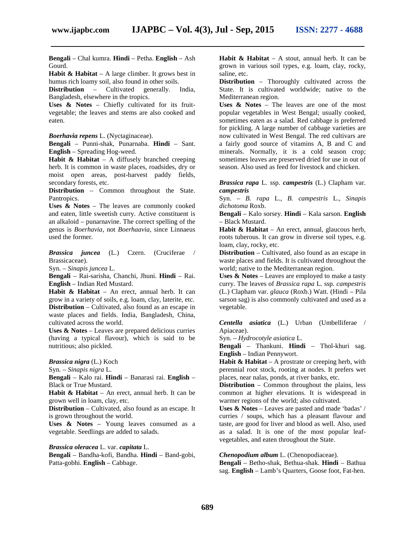**Bengali** – Chal kumra. **Hindi** – Petha. **English** – Ash

Gourd.

**Habit & Habitat** – A large climber. It grows best in humus rich loamy soil, also found in other soils.

**Distribution** – Cultivated generally. India, Bangladesh, elsewhere in the tropics.

**Uses & Notes** – Chiefly cultivated for its fruit vegetable; the leaves and stems are also cooked and eaten.

*Boerhavia repens* L. (Nyctaginaceae).

**Bengali** – Punni-shak, Punarnaba. **Hindi** – Sant. **English** – Spreading Hog-weed.

**Habit & Habitat** – A diffusely branched creeping herb. It is common in waste places, roadsides, dry or moist open areas, post-harvest paddy fields, secondary forests, etc.

**Distribution** – Common throughout the State. Pantropics.

**Uses & Notes** – The leaves are commonly cooked and eaten, little sweetish curry. Active constituent is an alkaloid – punarnavine. The correct spelling of the genus is *Boerhavia,* not *Boerhaavia,* since Linnaeus used the former.

*Brassica juncea* (L.) Czern. (Cruciferae / Brassicaceae).

Syn. – *Sinapis juncea* L.

**Bengali** – Rai-sarisha, Chanchi, Jhuni. **Hindi** – Rai. **English** – Indian Red Mustard.

**Habit & Habitat** – An erect, annual herb. It can grow in a variety of soils, e.g. loam, clay, laterite, etc. **Distribution** – Cultivated, also found as an escape in waste places and fields. India, Bangladesh, China, cultivated across the world.

**Uses & Notes** – Leaves are prepared delicious curries (having a typical flavour), which is said to be nutritious; also pickled.

*Brassica nigra* (L.) Koch

Syn. – *Sinapis nigra* L.

**Bengali** – Kalo rai. **Hindi** – Banarasi rai. **English** – Black or True Mustard.

**Habit & Habitat** – An erect, annual herb. It can be grown well in loam, clay, etc.

**Distribution** – Cultivated, also found as an escape. It is grown throughout the world.

**Uses & Notes** – Young leaves consumed as a vegetable. Seedlings are added to salads.

*Brassica oleracea* L. var. *capitata* L.

**Bengali** – Bandha-kofi, Bandha. **Hindi** – Band-gobi, Patta-gobhi. **English** – Cabbage.

**Habit & Habitat** – A stout, annual herb. It can be grown in various soil types, e.g. loam, clay, rocky, saline, etc.

**Distribution** – Thoroughly cultivated across the State. It is cultivated worldwide; native to the Mediterranean region.

**Uses & Notes** – The leaves are one of the most popular vegetables in West Bengal; usually cooked, sometimes eaten as a salad. Red cabbage is preferred for pickling. A large number of cabbage varieties are now cultivated in West Bengal. The red cultivars are a fairly good source of vitamins A, B and C and minerals. Normally, it is a cold season crop; sometimes leaves are preserved dried for use in out of season. Also used as feed for livestock and chicken.

*Brassica rapa* L. ssp. *campestris* (L.) Clapham var. *campestris*

Syn. – *B. rapa* L., *B. campestris* L., *Sinapis dichotoma* Roxb.

**Bengali** – Kalo sorsey. **Hindi** – Kala sarson. **English** – Black Mustard.

**Habit & Habitat** – An erect, annual, glaucous herb, roots tuberous. It can grow in diverse soil types, e.g. loam, clay, rocky, etc.

**Distribution** – Cultivated, also found as an escape in waste places and fields. It is cultivated throughout the world; native to the Mediterranean region.

**Uses & Notes** – Leaves are employed to make a tasty curry. The leaves of *Brassica rapa* L. ssp. *campestris* (L.) Clapham var. *glauca* (Roxb.) Watt. (Hindi – Pila sarson sag) is also commonly cultivated and used as a vegetable.

*Centella asiatica* (L.) Urban (Umbelliferae / Apiaceae).

Syn. – *Hydrocotyle asiatica* L.

**Bengali** – Thankuni. **Hindi** – Thol-khuri sag. **English** – Indian Pennywort.

**Habit & Habitat** – A prostrate or creeping herb, with perennial root stock, rooting at nodes. It prefers wet places, near nalas, ponds, at river banks, etc.

**Distribution** – Common throughout the plains, less common at higher elevations. It is widespread in warmer regions of the world; also cultivated.

**Uses & Notes** – Leaves are pasted and made 'badas' / curries / soups, which has a pleasant flavour and taste, are good for liver and blood as well. Also, used as a salad. It is one of the most popular leaf vegetables, and eaten throughout the State.

# *Chenopodium album* L. (Chenopodiaceae).

**Bengali** – Betho-shak, Bethua-shak. **Hindi** – Bathua sag. **English** – Lamb's Quarters, Goose foot, Fat-hen.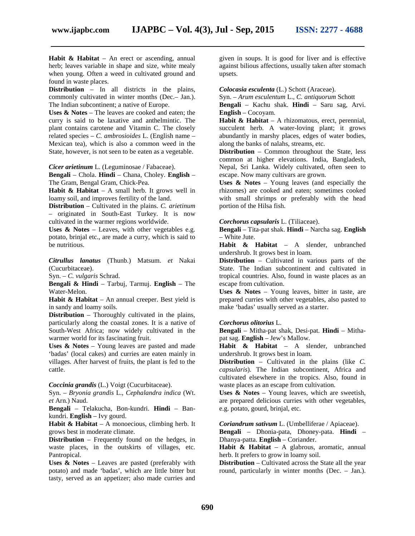**Habit & Habitat** – An erect or ascending, annual herb; leaves variable in shape and size, white mealy when young. Often a weed in cultivated ground and found in waste places.

**Distribution** – In all districts in the plains, commonly cultivated in winter months (Dec.– Jan.). The Indian subcontinent; a native of Europe.

**Uses & Notes** – The leaves are cooked and eaten; the curry is said to be laxative and anthelmintic. The plant contains carotene and Vitamin C. The closely related species – *C. ambrosioides* L. (English name – Mexican tea), which is also a common weed in the State, however, is not seen to be eaten as a vegetable.

*Cicer arietinum* L. (Leguminosae / Fabaceae).

**Bengali** – Chola. **Hindi** – Chana, Choley. **English** – The Gram, Bengal Gram, Chick-Pea.

**Habit & Habitat** – A small herb. It grows well in loamy soil, and improves fertility of the land.

**Distribution** – Cultivated in the plains. *C. arietinum* – originated in South-East Turkey. It is now cultivated in the warmer regions worldwide.

Uses & Notes – Leaves, with other vegetables e.g. potato, brinjal etc., are made a curry, which is said to be nutritious.

*Citrullus lanatus* (Thunb.) Matsum. *et* Nakai (Cucurbitaceae).

Syn. – *C. vulgaris* Schrad.

**Bengali & Hindi** – Tarbuj, Tarmuj. **English** – The Water-Melon.

**Habit & Habitat** – An annual creeper. Best yield is in sandy and loamy soils.

**Distribution** – Thoroughly cultivated in the plains, particularly along the coastal zones. It is a native of South-West Africa; now widely cultivated in the warmer world for its fascinating fruit.

Uses & Notes – Young leaves are pasted and made 'badas' (local cakes) and curries are eaten mainly in villages. After harvest of fruits, the plant is fed to the cattle.

*Coccinia grandis* (L.) Voigt (Cucurbitaceae).

Syn. – *Bryonia grandis* L., *Cephalandra indica* (Wt. *et* Arn.) Naud.

**Bengali** – Telakucha, Bon-kundri. **Hindi** – Ban kundri. **English** – Ivy gourd.

Habit & Habitat – A monoecious, climbing herb. It grows best in moderate climate.

**Distribution** – Frequently found on the hedges, in waste places, in the outskirts of villages, etc. Pantropical.

**Uses & Notes** – Leaves are pasted (preferably with potato) and made 'badas', which are little bitter but tasty, served as an appetizer; also made curries and

given in soups. It is good for liver and is effective against bilious affections, usually taken after stomach upsets.

# *Colocasia esculenta* (L.) Schott (Araceae).

Syn. – *Arum esculentum* L., *C. antiquorum* Schott

**Bengali** – Kachu shak. **Hindi** – Saru sag, Arvi. **English** – Cocoyam.

**Habit & Habitat** – A rhizomatous, erect, perennial, succulent herb. A water-loving plant; it grows abundantly in marshy places, edges of water bodies, along the banks of nalahs, streams, etc.

**Distribution** – Common throughout the State, less common at higher elevations. India, Bangladesh, Nepal, Sri Lanka. Widely cultivated, often seen to escape. Now many cultivars are grown.

**Uses & Notes** – Young leaves (and especially the rhizomes) are cooked and eaten; sometimes cooked with small shrimps or preferably with the head portion of the Hilsa fish.

#### *Corchorus capsularis* L.(Tiliaceae).

**Bengali** – Tita-pat shak. **Hindi** – Narcha sag. **English** – White Jute.

**Habit & Habitat** – A slender, unbranched undershrub. It grows best in loam.

**Distribution** – Cultivated in various parts of the State. The Indian subcontinent and cultivated in tropical countries. Also, found in waste places as an escape from cultivation.

**Uses & Notes** – Young leaves, bitter in taste, are prepared curries with other vegetables, also pasted to make 'badas' usually served as a starter.

#### *Corchorus olitorius* L.

**Bengali** – Mitha-pat shak, Desi-pat. **Hindi** – Mitha pat sag. **English** – Jew's Mallow.

**Habit & Habitat** – A slender, unbranched undershrub. It grows best in loam.

**Distribution** – Cultivated in the plains (like *C. capsularis*). The Indian subcontinent, Africa and cultivated elsewhere in the tropics. Also, found in waste places as an escape from cultivation.

**Uses & Notes** – Young leaves, which are sweetish, are prepared delicious curries with other vegetables, e.g. potato, gourd, brinjal, etc.

*Coriandrum sativum* L. (Umbelliferae / Apiaceae).

**Bengali** – Dhonia-pata, Dhoney-pata. **Hindi** – Dhanya-patta. **English** – Coriander.

**Habit & Habitat** – A glabrous, aromatic, annual herb. It prefers to grow in loamy soil.

**Distribution** – Cultivated across the State all the year round, particularly in winter months (Dec. – Jan.).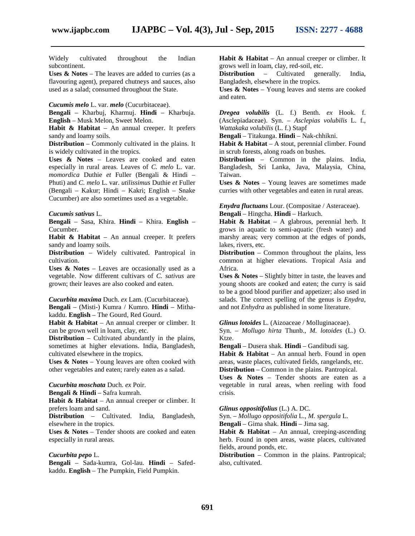Widely cultivated throughout the Indian subcontinent.

**Uses & Notes** – The leaves are added to curries (as a flavouring agent), prepared chutneys and sauces, also used as a salad; consumed throughout the State.

*Cucumis melo* L. var. *melo* (Cucurbitaceae).

**Bengali** – Kharbuj, Kharmuj. **Hindi** – Kharbuja.

**English** – Musk Melon, Sweet Melon.

**Habit & Habitat** – An annual creeper. It prefers sandy and loamy soils.

**Distribution** – Commonly cultivated in the plains. It is widely cultivated in the tropics.

**Uses & Notes** – Leaves are cooked and eaten especially in rural areas. Leaves of *C. melo* L. var. *momordica* Duthie *et* Fuller (Bengali & Hindi – Phuti) and *C. melo* L. var. *utilissimus* Duthie *et* Fuller (Bengali – Kakur; Hindi – Kakri; English – Snake Cucumber) are also sometimes used as a vegetable.

*Cucumis sativus* L.

**Bengali** – Sasa, Khira. **Hindi** – Khira. **English** – Cucumber.

**Habit & Habitat** – An annual creeper. It prefers sandy and loamy soils.

**Distribution** – Widely cultivated. Pantropical in cultivation.

**Uses & Notes** – Leaves are occasionally used as a vegetable. Now different cultivars of *C. sativus* are grown; their leaves are also cooked and eaten.

*Cucurbita maxima* Duch. *ex* Lam. (Cucurbitaceae). **Bengali** – (Misti-) Kumra / Kumro. **Hindi** – Mitha kaddu. **English** – The Gourd, Red Gourd.

**Habit & Habitat** – An annual creeper or climber. It can be grown well in loam, clay, etc.

**Distribution** – Cultivated abundantly in the plains, sometimes at higher elevations. India, Bangladesh, cultivated elsewhere in the tropics.

**Uses & Notes** – Young leaves are often cooked with other vegetables and eaten; rarely eaten as a salad.

*Cucurbita moschata* Duch. *ex* Poir.

**Bengali & Hindi** – Safra kumrah.

**Habit & Habitat** – An annual creeper or climber. It prefers loam and sand.

**Distribution** – Cultivated. India, Bangladesh, elsewhere in the tropics.

**Uses & Notes** – Tender shoots are cooked and eaten especially in rural areas.

# *Cucurbita pepo* L.

**Bengali** – Sada-kumra, Gol-lau. **Hindi** – Safed kaddu. **English** – The Pumpkin, Field Pumpkin.

**Habit & Habitat** – An annual creeper or climber. It grows well in loam, clay, red-soil, etc.

**Distribution** – Cultivated generally. India, Bangladesh, elsewhere in the tropics.

**Uses & Notes** – Young leaves and stems are cooked and eaten.

*Dregea volubilis* (L. f.) Benth. *ex* Hook. f. (Asclepiadaceae). Syn. – *Asclepias volubilis* L. f., *Wattakaka volubilis* (L. f.) Stapf

**Bengali** – Titakunga. **Hindi** – Nak-chhikni.

**Habit & Habitat** – A stout, perennial climber. Found in scrub forests, along roads on bushes.

**Distribution** – Common in the plains. India, Bangladesh, Sri Lanka, Java, Malaysia, China, Taiwan.

**Uses & Notes** – Young leaves are sometimes made curries with other vegetables and eaten in rural areas.

*Enydra fluctuans* Lour. (Compositae / Asteraceae). **Bengali** – Hingcha. **Hindi** – Harkuch.

**Habit & Habitat** – A glabrous, perennial herb. It grows in aquatic to semi-aquatic (fresh water) and marshy areas; very common at the edges of ponds, lakes, rivers, etc.

**Distribution** – Common throughout the plains, less common at higher elevations. Tropical Asia and Africa.

**Uses & Notes** – Slightly bitter in taste, the leaves and young shoots are cooked and eaten; the curry is said to be a good blood purifier and appetizer; also used in salads. The correct spelling of the genus is *Enydra*, and not *Enhydra* as published in some literature.

*Glinus lotoides* L. (Aizoaceae / Molluginaceae).

Syn. – *Mollugo hirta* Thunb., *M. lotoides* (L.) O. Ktze.

**Bengali** – Dusera shak. **Hindi** – Gandibudi sag. **Habit & Habitat** – An annual herb. Found in open areas, waste places, cultivated fields, rangelands, etc. **Distribution** – Common in the plains. Pantropical.

**Uses & Notes** – Tender shoots are eaten as a vegetable in rural areas, when reeling with food crisis.

*Glinus oppositifolius* (L.) A. DC.

Syn. – *Mollugo oppositifolia* L., *M. spergula* L.

**Bengali** – Gima shak. **Hindi** – Jima sag.

Habit & Habitat – An annual, creeping-ascending herb. Found in open areas, waste places, cultivated fields, around ponds, etc.

**Distribution** – Common in the plains. Pantropical; also, cultivated.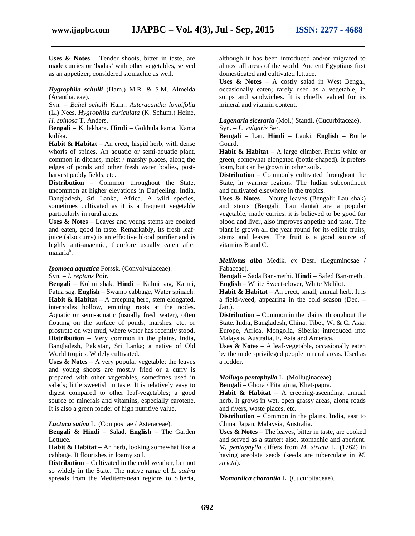**Uses & Notes** – Tender shoots, bitter in taste, are made curries or 'badas' with other vegetables, served as an appetizer; considered stomachic as well.

# *Hygrophila schulli* (Ham.) M.R. & S.M. Almeida (Acanthaceae).

Syn. – *Bahel schulli* Ham., *Asteracantha longifolia* (L.) Nees, *Hygrophila auriculata* (K. Schum.) Heine, *H. spinosa* T. Anders.

**Bengali** – Kulekhara. **Hindi** – Gokhula kanta, Kanta kulika.

**Habit & Habitat** – An erect, hispid herb, with dense whorls of spines. An aquatic or semi-aquatic plant, common in ditches, moist / marshy places, along the edges of ponds and other fresh water bodies, post harvest paddy fields, etc.

**Distribution** – Common throughout the State, uncommon at higher elevations in Darjeeling. India, Bangladesh, Sri Lanka, Africa. A wild species, sometimes cultivated as it is a frequent vegetable particularly in rural areas.

**Uses & Notes** – Leaves and young stems are cooked and eaten, good in taste. Remarkably, its fresh leafjuice (also curry) is an effective blood purifier and is highly anti-anaemic, therefore usually eaten after malaria<sup>6</sup>.

*Ipomoea aquatica* Forssk. (Convolvulaceae). Syn. – *I. reptans* Poir.

**Bengali** – Kolmi shak. **Hindi** – Kalmi sag, Karmi, Patua sag. **English** – Swamp cabbage, Water spinach. **Habit & Habitat** – A creeping herb, stem elongated, internodes hollow, emitting roots at the nodes. Aquatic or semi-aquatic (usually fresh water), often floating on the surface of ponds, marshes, etc. or prostrate on wet mud, where water has recently stood. **Distribution** – Very common in the plains. India, Bangladesh, Pakistan, Sri Lanka; a native of Old World tropics. Widely cultivated.

**Uses & Notes** – A very popular vegetable; the leaves and young shoots are mostly fried or a curry is prepared with other vegetables, sometimes used in salads; little sweetish in taste. It is relatively easy to digest compared to other leaf-vegetables; a good source of minerals and vitamins, especially carotene. It is also a green fodder of high nutritive value.

*Lactuca sativa* L. (Compositae / Asteraceae).

**Bengali & Hindi** – Salad. **English** – The Garden Lettuce.

**Habit & Habitat** – An herb, looking somewhat like a cabbage. It flourishes in loamy soil.

**Distribution** – Cultivated in the cold weather, but not so widely in the State. The native range of *L. sativa* spreads from the Mediterranean regions to Siberia,

although it has been introduced and/or migrated to almost all areas of the world. Ancient Egyptians first domesticated and cultivated lettuce.

**Uses & Notes** – A costly salad in West Bengal, occasionally eaten; rarely used as a vegetable, in soups and sandwiches. It is chiefly valued for its mineral and vitamin content.

*Lagenaria siceraria* (Mol.) Standl. (Cucurbitaceae).

Syn. – *L. vulgaris* Ser.

**Bengali** – Lau. **Hindi** – Lauki. **English** – Bottle Gourd.

**Habit & Habitat** – A large climber. Fruits white or green, somewhat elongated (bottle-shaped). It prefers loam, but can be grown in other soils.

**Distribution** – Commonly cultivated throughout the State, in warmer regions. The Indian subcontinent and cultivated elsewhere in the tropics.

**Uses & Notes** – Young leaves (Bengali: Lau shak) and stems (Bengali: Lau danta) are a popular vegetable, made curries; it is believed to be good for blood and liver, also improves appetite and taste. The plant is grown all the year round for its edible fruits, stems and leaves. The fruit is a good source of vitamins B and C.

*Melilotus alba* Medik. *ex* Desr. (Leguminosae / Fabaceae).

**Bengali** – Sada Ban-methi. **Hindi** – Safed Ban-methi. **English** – White Sweet-clover, White Melilot.

**Habit & Habitat** – An erect, small, annual herb. It is a field-weed, appearing in the cold season (Dec. – Jan.).

**Distribution** – Common in the plains, throughout the State. India, Bangladesh, China, Tibet, W. & C. Asia, Europe, Africa, Mongolia, Siberia; introduced into Malaysia, Australia, E. Asia and America.

**Uses & Notes** – A leaf-vegetable, occasionally eaten by the under-privileged people in rural areas. Used as a fodder.

*Mollugo pentaphylla* L. (Molluginaceae).

**Bengali** – Ghora / Pita gima, Khet-papra.

**Habit & Habitat** – A creeping-ascending, annual herb. It grows in wet, open grassy areas, along roads and rivers, waste places, etc.

**Distribution** – Common in the plains. India, east to China, Japan, Malaysia, Australia.

**Uses & Notes** – The leaves, bitter in taste, are cooked and served as a starter; also, stomachic and aperient. *M. pentaphylla* differs from *M. stricta* L. (1762) in having areolate seeds (seeds are tuberculate in *M. stricta*).

*Momordica charantia* L. (Cucurbitaceae).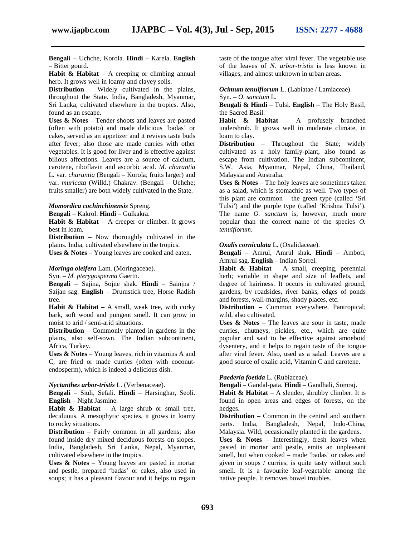**Bengali** – Uchche, Korola. **Hindi** – Karela. **English** – Bitter gourd.

**Habit & Habitat** – A creeping or climbing annual herb. It grows well in loamy and clayey soils.

**Distribution** – Widely cultivated in the plains, throughout the State. India, Bangladesh, Myanmar, Sri Lanka, cultivated elsewhere in the tropics. Also, found as an escape.

**Uses & Notes** – Tender shoots and leaves are pasted (often with potato) and made delicious 'badas' or cakes, served as an appetizer and it revives taste buds after fever; also those are made curries with other vegetables. It is good for liver and is effective against bilious affections. Leaves are a source of calcium, carotene, riboflavin and ascorbic acid. *M. charantia* L. var. *charantia* (Bengali – Korola; fruits larger) and var. *muricata* (Willd.) Chakrav. (Bengali – Uchche; fruits smaller) are both widely cultivated in the State.

#### *Momordica cochinchinensis* Spreng.

**Bengali** – Kakrol. **Hindi** – Gulkakra.

**Habit & Habitat** – A creeper or climber. It grows best in loam.

**Distribution** – Now thoroughly cultivated in the plains. India, cultivated elsewhere in the tropics.

**Uses & Notes** – Young leaves are cooked and eaten.

# *Moringa oleifera* Lam. (Moringaceae).

Syn. – *M. pterygosperma* Gaertn.

**Bengali** – Sajina, Sojne shak. **Hindi** – Sainjna / Saijan sag. **English** – Drumstick tree, Horse Radish tree.

**Habit & Habitat** – A small, weak tree, with corky bark, soft wood and pungent smell. It can grow in moist to arid / semi-arid situations.

**Distribution** – Commonly planted in gardens in the plains, also self-sown. The Indian subcontinent, Africa, Turkey.

**Uses & Notes** – Young leaves, rich in vitamins A and C, are fried or made curries (often with coconut endosperm), which is indeed a delicious dish.

# *Nyctanthes arbor-tristis* L. (Verbenaceae).

**Bengali** – Siuli, Sefali. **Hindi** – Harsinghar, Seoli. **English** – Night Jasmine.

**Habit & Habitat** – A large shrub or small tree, deciduous. A mesophytic species, it grows in loamy to rocky situations.

**Distribution** – Fairly common in all gardens; also found inside dry mixed deciduous forests on slopes. India, Bangladesh, Sri Lanka, Nepal, Myanmar, cultivated elsewhere in the tropics.

**Uses & Notes** – Young leaves are pasted in mortar and pestle, prepared 'badas' or cakes, also used in soups; it has a pleasant flavour and it helps to regain

taste of the tongue after viral fever. The vegetable use of the leaves of *N. arbor-tristis* is less known in villages, and almost unknown in urban areas.

# *Ocimum tenuiflorum* L. (Labiatae / Lamiaceae).

Syn. – *O. sanctum* L. **Bengali & Hindi** – Tulsi. **English** – The Holy Basil, the Sacred Basil.

**Habit & Habitat** – A profusely branched undershrub. It grows well in moderate climate, in loam to clay.

**Distribution** – Throughout the State; widely cultivated as a holy family-plant, also found as escape from cultivation. The Indian subcontinent, S.W. Asia, Myanmar, Nepal, China, Thailand, Malaysia and Australia.

**Uses & Notes** – The holy leaves are sometimes taken as a salad, which is stomachic as well. Two types of this plant are common – the green type (called 'Sri Tulsi') and the purple type (called 'Krishna Tulsi'). The name *O. sanctum* is, however, much more popular than the correct name of the species *O. tenuiflorum*.

# *Oxalis corniculata* L. (Oxalidaceae).

**Bengali** – Amrul, Amrul shak. **Hindi** – Amboti, Amrul sag. **English** – Indian Sorrel.

**Habit & Habitat** – A small, creeping, perennial herb; variable in shape and size of leaflets, and degree of hairiness. It occurs in cultivated ground, gardens, by roadsides, river banks, edges of ponds and forests, wall-margins, shady places, etc.

**Distribution** – Common everywhere. Pantropical; wild, also cultivated.

**Uses & Notes** – The leaves are sour in taste, made curries, chutneys, pickles, etc., which are quite popular and said to be effective against amoeboid dysentery, and it helps to regain taste of the tongue after viral fever. Also, used as a salad. Leaves are a good source of oxalic acid, Vitamin C and carotene.

# *Paederia foetida* L. (Rubiaceae).

**Bengali** – Gandal-pata. **Hindi** – Gandhali, Somraj.

**Habit & Habitat** – A slender, shrubby climber. It is found in open areas and edges of forests, on the hedges.

**Distribution** – Common in the central and southern parts. India, Bangladesh, Nepal, Indo-China, Malaysia. Wild, occasionally planted in the gardens.

**Uses & Notes** – Interestingly, fresh leaves when pasted in mortar and pestle, emits an unpleasant smell, but when cooked – made 'badas' or cakes and given in soups / curries, is quite tasty without such smell. It is a favourite leaf-vegetable among the native people. It removes bowel troubles.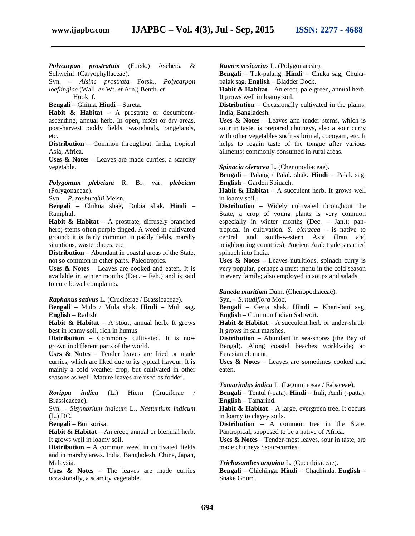*Polycarpon prostratum* (Forsk.) Aschers. & Schweinf. (Caryophyllaceae).

Syn. – *Alsine prostrata* Forsk., *Polycarpon loeflingiae* (Wall. *ex* Wt. *et* Arn.) Benth. *et*

Hook. f.

**Bengali** – Ghima. **Hindi** – Sureta.

**Habit & Habitat** – A prostrate or decumbent ascending, annual herb. In open, moist or dry areas, post-harvest paddy fields, wastelands, rangelands, etc.

**Distribution** – Common throughout. India, tropical Asia, Africa.

**Uses & Notes** – Leaves are made curries, a scarcity vegetable.

*Polygonum plebeium* R. Br. var. *plebeium* (Polygonaceae).

Syn. – *P. roxburghii* Meisn.

**Bengali** – Chikna shak, Dubia shak. **Hindi** – Raniphul.

**Habit & Habitat** – A prostrate, diffusely branched herb; stems often purple tinged. A weed in cultivated ground; it is fairly common in paddy fields, marshy situations, waste places, etc.

**Distribution** – Abundant in coastal areas of the State, not so common in other parts. Paleotropics.

**Uses & Notes** – Leaves are cooked and eaten. It is available in winter months (Dec. – Feb.) and is said to cure bowel complaints.

*Raphanus sativus* L. (Cruciferae / Brassicaceae).

**Bengali** – Mulo / Mula shak. **Hindi** – Muli sag. **English** – Radish.

**Habit & Habitat** – A stout, annual herb. It grows best in loamy soil, rich in humus.

**Distribution** – Commonly cultivated. It is now grown in different parts of the world.

**Uses & Notes** – Tender leaves are fried or made curries, which are liked due to its typical flavour. It is mainly a cold weather crop, but cultivated in other seasons as well. Mature leaves are used as fodder.

*Rorippa indica* (L.) Hiern (Cruciferae / Brassicaceae).

Syn. – *Sisymbrium indicum* L., *Nasturtium indicum* (L.) DC.

**Bengali** – Bon sorisa.

**Habit & Habitat** – An erect, annual or biennial herb. It grows well in loamy soil.

**Distribution** – A common weed in cultivated fields and in marshy areas. India, Bangladesh, China, Japan, Malaysia.

**Uses & Notes** – The leaves are made curries occasionally, a scarcity vegetable.

*Rumex vesicarius* L. (Polygonaceae).

**Bengali** – Tak-palang. **Hindi** – Chuka sag, Chuka palak sag.**English** – Bladder Dock.

**Habit & Habitat** – An erect, pale green, annual herb. It grows well in loamy soil.

**Distribution** – Occasionally cultivated in the plains. India, Bangladesh.

**Uses & Notes** – Leaves and tender stems, which is sour in taste, is prepared chutneys, also a sour curry with other vegetables such as brinjal, cocoyam, etc. It helps to regain taste of the tongue after various ailments; commonly consumed in rural areas.

*Spinacia oleracea* L. (Chenopodiaceae).

**Bengali** – Palang / Palak shak. **Hindi** – Palak sag. **English** – Garden Spinach.

**Habit & Habitat** – A succulent herb. It grows well in loamy soil.

**Distribution** – Widely cultivated throughout the State, a crop of young plants is very common especially in winter months (Dec. – Jan.); pantropical in cultivation. *S. oleracea* – is native to central and south-western Asia (Iran and neighbouring countries). Ancient Arab traders carried spinach into India.

**Uses & Notes** – Leaves nutritious, spinach curry is very popular, perhaps a must menu in the cold season in every family; also employed in soups and salads.

*Suaeda maritima* Dum. (Chenopodiaceae).

Syn. – *S. nudiflora* Moq.

**Bengali** – Geria shak. **Hindi** – Khari-lani sag. **English** – Common Indian Saltwort.

**Habit & Habitat** – A succulent herb or under-shrub. It grows in salt marshes.

**Distribution** – Abundant in sea-shores (the Bay of Bengal). Along coastal beaches worldwide; an Eurasian element.

**Uses & Notes** – Leaves are sometimes cooked and eaten.

*Tamarindus indica* L. (Leguminosae / Fabaceae).

**Bengali** – Tentul (-pata). **Hindi** – Imli, Amli (-patta). **English** – Tamarind.

**Habit & Habitat** – A large, evergreen tree. It occurs in loamy to clayey soils.

**Distribution** – A common tree in the State. Pantropical, supposed to be a native of Africa.

**Uses & Notes** – Tender-most leaves, sour in taste, are made chutneys / sour-curries.

#### *Trichosanthes anguina* L. (Cucurbitaceae).

**Bengali** – Chichinga. **Hindi** – Chachinda. **English** – Snake Gourd.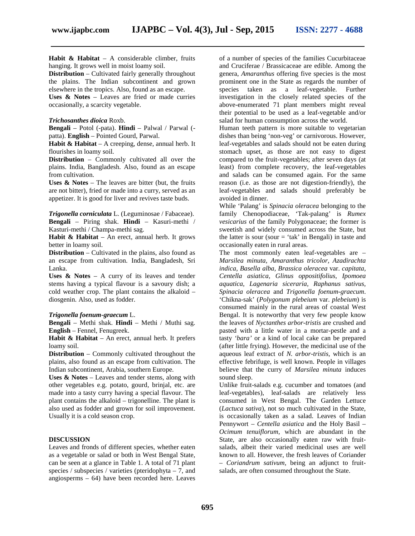**Habit & Habitat** – A considerable climber, fruits hanging. It grows well in moist loamy soil.

**Distribution** – Cultivated fairly generally throughout the plains. The Indian subcontinent and grown elsewhere in the tropics. Also, found as an escape.

**Uses & Notes** – Leaves are fried or made curries occasionally, a scarcity vegetable.

# *Trichosanthes dioica* Roxb.

**Bengali** – Potol (-pata). **Hindi** – Palwal / Parwal ( patta). **English** – Pointed Gourd, Parwal.

**Habit & Habitat** – A creeping, dense, annual herb. It flourishes in loamy soil.

**Distribution** – Commonly cultivated all over the plains. India, Bangladesh. Also, found as an escape from cultivation.

**Uses & Notes** – The leaves are bitter (but, the fruits are not bitter), fried or made into a curry, served as an appetizer. It is good for liver and revives taste buds.

*Trigonella corniculata* L. (Leguminosae / Fabaceae). **Bengali** – Piring shak. **Hindi** – Kasuri-methi / Kasturi-methi / Champa-methi sag.

**Habit & Habitat** – An erect, annual herb. It grows better in loamy soil.

**Distribution** – Cultivated in the plains, also found as an escape from cultivation. India, Bangladesh, Sri Lanka.

**Uses & Notes** – A curry of its leaves and tender stems having a typical flavour is a savoury dish; a cold weather crop. The plant contains the alkaloid – diosgenin. Also, used as fodder.

## *Trigonella foenum-graecum* L.

**Bengali** – Methi shak. **Hindi** – Methi / Muthi sag. **English** – Fennel, Fenugreek.

**Habit & Habitat** – An erect, annual herb. It prefers loamy soil.

**Distribution** – Commonly cultivated throughout the plains, also found as an escape from cultivation. The Indian subcontinent, Arabia, southern Europe.

**Uses & Notes** – Leaves and tender stems, along with other vegetables e.g. potato, gourd, brinjal, etc. are made into a tasty curry having a special flavour. The plant contains the alkaloid – trigonelline. The plant is also used as fodder and grown for soil improvement. Usually it is a cold season crop.

# **DISCUSSION**

Leaves and fronds of different species, whether eaten as a vegetable or salad or both in West Bengal State, can be seen at a glance in Table 1. A total of 71 plant species / subspecies / varieties (pteridophyta – 7, and angiosperms – 64) have been recorded here. Leaves

of a number of species of the families Cucurbitaceae and Cruciferae / Brassicaceae are edible. Among the genera, *Amaranthus* offering five species is the most prominent one in the State as regards the number of species taken as a leaf-vegetable. Further investigation in the closely related species of the above-enumerated 71 plant members might reveal their potential to be used as a leaf-vegetable and/or salad for human consumption across the world.

Human teeth pattern is more suitable to vegetarian dishes than being 'non-veg' or carnivorous. However, leaf-vegetables and salads should not be eaten during stomach upset, as those are not easy to digest compared to the fruit-vegetables; after seven days (at least) from complete recovery, the leaf-vegetables and salads can be consumed again. For the same reason (i.e. as those are not digestion-friendly), the leaf-vegetables and salads should preferably be avoided in dinner.

While 'Palang' is *Spinacia oleracea* belonging to the family Chenopodiaceae, 'Tak-palang' is *Rumex vesicarius* of the family Polygonaceae; the former is sweetish and widely consumed across the State, but the latter is sour (sour  $=$  'tak' in Bengali) in taste and occasionally eaten in rural areas.

The most commonly eaten leaf-vegetables are – *Marsilea minuta, Amaranthus tricolor, Azadirachta indica, Basella alba, Brassica oleracea* var.*capitata, Centella asiatica, Glinus oppositifolius, Ipomoea aquatica, Lagenaria siceraria, Raphanus sativus, Spinacia oleracea* and *Trigonella foenum-graecum*. 'Chikna-sak' (*Polygonum plebeium* var. *plebeium*) is consumed mainly in the rural areas of coastal West Bengal. It is noteworthy that very few people know the leaves of *Nyctanthes arbor-tristis* are crushed and pasted with a little water in a mortar-pestle and a tasty *'bara'* or a kind of local cake can be prepared (after little frying). However, the medicinal use of the aqueous leaf extract of *N. arbor-tristis*, which is an effective febrifuge, is well known. People in villages believe that the curry of *Marsilea minuta* induces sound sleep.

Unlike fruit-salads e.g. cucumber and tomatoes (and leaf-vegetables), leaf-salads are relatively less consumed in West Bengal. The Garden Lettuce (*Lactuca sativa*), not so much cultivated in the State, is occasionally taken as a salad. Leaves of Indian Pennywort – *Centella asiatica* and the Holy Basil – *Ocimum tenuiflorum*, which are abundant in the State, are also occasionally eaten raw with fruit salads, albeit their varied medicinal uses are well known to all. However, the fresh leaves of Coriander – *Coriandrum sativum,* being an adjunct to fruit salads, are often consumed throughout the State.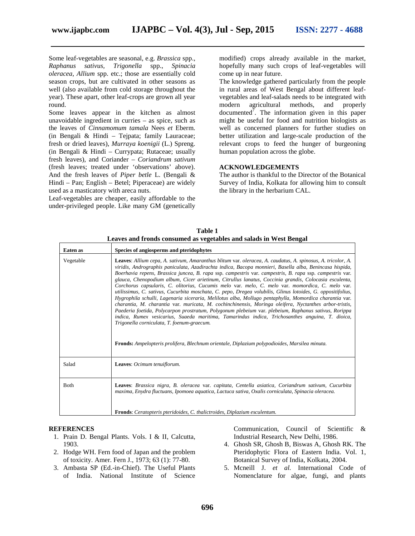Some leaf-vegetables are seasonal, e.g. *Brassica* spp., *Raphanus sativus, Trigonella* spp., *Spinacia oleracea, Allium* spp. etc.; those are essentially cold season crops, but are cultivated in other seasons as well (also available from cold storage throughout the year). These apart, other leaf-crops are grown all year round.

Some leaves appear in the kitchen as almost unavoidable ingredient in curries – as spice, such as the leaves of *Cinnamomum tamala* Nees *et* Eberm. (in Bengali & Hindi – Tejpata; family Lauraceae; fresh or dried leaves), *Murraya koenigii* (L.) Spreng. (in Bengali & Hindi – Currypata; Rutaceae; usually fresh leaves), and Coriander – *Coriandrum sativum* (fresh leaves; treated under 'observations' above). And the fresh leaves of *Piper betle* L. (Bengali & Hindi – Pan; English – Betel; Piperaceae) are widely used as a masticatory with areca nuts.

Leaf-vegetables are cheaper, easily affordable to the under-privileged people. Like many GM (genetically

modified) crops already available in the market, hopefully many such crops of leaf-vegetables will come up in near future.

The knowledge gathered particularly from the people in rural areas of West Bengal about different leaf vegetables and leaf-salads needs to be integrated with<br>modern agricultural methods, and properly modern agricultural methods, and documented<sup>7</sup>. The information given in this paper might be useful for food and nutrition biologists as well as concerned planners for further studies on better utilization and large-scale production of the relevant crops to feed the hunger of burgeoning human population across the globe.

# **ACKNOWLEDGEMENTS**

The author is thankful to the Director of the Botanical Survey of India, Kolkata for allowing him to consult the library in the herbarium CAL.

| Table 1                                                            |  |
|--------------------------------------------------------------------|--|
| Leaves and fronds consumed as vegetables and salads in West Bengal |  |

| <b>Eaten</b> as | Species of angiosperms and pteridophytes                                                                                                                                                                                                                                                                                                                                                                                                                                                                                                                                                                                                                                                                                                                                                                                                                                                                                                                                                                                                                                                                                                                                                                                                            |
|-----------------|-----------------------------------------------------------------------------------------------------------------------------------------------------------------------------------------------------------------------------------------------------------------------------------------------------------------------------------------------------------------------------------------------------------------------------------------------------------------------------------------------------------------------------------------------------------------------------------------------------------------------------------------------------------------------------------------------------------------------------------------------------------------------------------------------------------------------------------------------------------------------------------------------------------------------------------------------------------------------------------------------------------------------------------------------------------------------------------------------------------------------------------------------------------------------------------------------------------------------------------------------------|
| Vegetable       | Leaves: Allium cepa, A. sativum, Amaranthus blitum var. oleracea, A. caudatus, A. spinosus, A. tricolor, A.<br>viridis, Andrographis paniculata, Azadirachta indica, Bacopa monnieri, Basella alba, Benincasa hispida,<br>Boerhavia repens, Brassica juncea, B. rapa ssp. campestris var. campestris, B. rapa ssp. campestris var.<br>glauca, Chenopodium album, Cicer arietinum, Citrullus lanatus, Coccinia grandis, Colocasia esculenta,<br>Corchorus capsularis, C. olitorius, Cucumis melo var. melo, C. melo var. momordica, C. melo var.<br>utilissimus, C. sativus, Cucurbita moschata, C. pepo, Dregea volubilis, Glinus lotoides, G. oppositifolius,<br>Hygrophila schulli, Lagenaria siceraria, Melilotus alba, Mollugo pentaphylla, Momordica charantia var.<br>charantia, M. charantia var. muricata, M. cochinchinensis, Moringa oleifera, Nyctanthes arbor-tristis,<br>Paederia foetida, Polycarpon prostratum, Polygonum plebeium var. plebeium, Raphanus sativus, Rorippa<br>indica, Rumex vesicarius, Suaeda maritima, Tamarindus indica, Trichosanthes anguina, T. dioica,<br>Trigonella corniculata, T. foenum-graecum.<br><b>Fronds:</b> Ampelopteris prolifera, Blechnum orientale, Diplazium polypodioides, Marsilea minuta. |
| Salad           | Leaves: Ocimum tenuiflorum.                                                                                                                                                                                                                                                                                                                                                                                                                                                                                                                                                                                                                                                                                                                                                                                                                                                                                                                                                                                                                                                                                                                                                                                                                         |
| <b>B</b> oth    | Leaves: Brassica nigra, B. oleracea var. capitata, Centella asiatica, Coriandrum sativum, Cucurbita<br>maxima, Enydra fluctuans, Ipomoea aquatica, Lactuca sativa, Oxalis corniculata, Spinacia oleracea.                                                                                                                                                                                                                                                                                                                                                                                                                                                                                                                                                                                                                                                                                                                                                                                                                                                                                                                                                                                                                                           |
|                 | <b>Fronds:</b> Ceratopteris pteridoides, C. thalictroides, Diplazium esculentum.                                                                                                                                                                                                                                                                                                                                                                                                                                                                                                                                                                                                                                                                                                                                                                                                                                                                                                                                                                                                                                                                                                                                                                    |

# **REFERENCES**

- 1. Prain D. Bengal Plants. Vols. I & II, Calcutta, 1903.
- 2. Hodge WH. Fern food of Japan and the problem of toxicity. Amer. Fern J., 1973; 63 (1): 77-80.
- 3. Ambasta SP (Ed.-in-Chief). The Useful Plants of India. National Institute of Science

Communication, Council of Scientific & Industrial Research, New Delhi, 1986.

- 4. Ghosh SR, Ghosh B, Biswas A, Ghosh RK. The Pteridophytic Flora of Eastern India. Vol. 1, Botanical Survey of India, Kolkata, 2004.
- 5. Mcneill J. *et al.* International Code of Nomenclature for algae, fungi, and plants